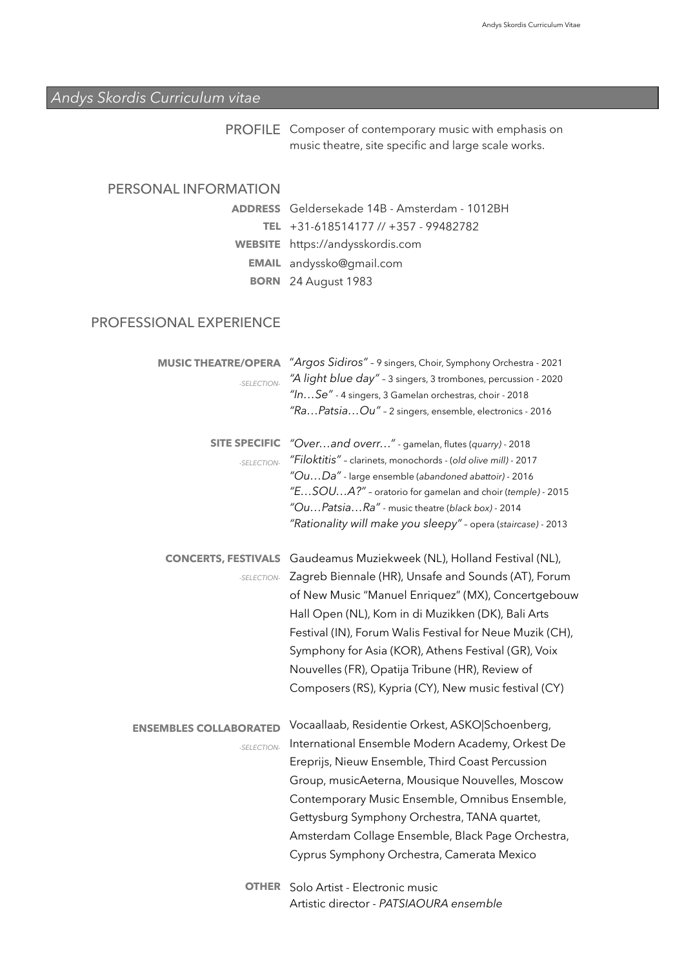## *Andys Skordis Curriculum vitae*

| <b>PROFILE</b> Composer of contemporary music with emphasis on |
|----------------------------------------------------------------|
| music theatre, site specific and large scale works.            |

## PERSONAL INFORMATION

Geldersekade 14B - Amsterdam - 1012BH **ADDRESS**  +31-618514177 // +357 - 99482782 **TEL**  https://andysskordis.com **WEBSITE EMAIL** andyssko@gmail.com 24 August 1983 **BORN** 

## PROFESSIONAL EXPERIENCE

| <b>MUSIC THEATRE/OPERA</b><br>-SFI FCTION-   | "Argos Sidiros" - 9 singers, Choir, Symphony Orchestra - 2021<br>"A light blue day" - 3 singers, 3 trombones, percussion - 2020<br>"InSe" - 4 singers, 3 Gamelan orchestras, choir - 2018<br>"RaPatsiaOu" - 2 singers, ensemble, electronics - 2016                                                                                                                                                                                                |
|----------------------------------------------|----------------------------------------------------------------------------------------------------------------------------------------------------------------------------------------------------------------------------------------------------------------------------------------------------------------------------------------------------------------------------------------------------------------------------------------------------|
| <b>SITE SPECIFIC</b><br>-SELECTION-          | "Overand overr" - gamelan, flutes (quarry) - 2018<br>"Filoktitis" - clarinets, monochords - (old olive mill) - 2017<br>"OuDa" - large ensemble (abandoned abattoir) - 2016<br>"ESOUA?" - oratorio for gamelan and choir (temple) - 2015<br>"OuPatsiaRa" - music theatre (black box) - 2014<br>"Rationality will make you sleepy" - opera (staircase) - 2013                                                                                        |
| <b>CONCERTS, FESTIVALS</b><br>-SELECTION-    | Gaudeamus Muziekweek (NL), Holland Festival (NL),<br>Zagreb Biennale (HR), Unsafe and Sounds (AT), Forum<br>of New Music "Manuel Enriquez" (MX), Concertgebouw<br>Hall Open (NL), Kom in di Muzikken (DK), Bali Arts<br>Festival (IN), Forum Walis Festival for Neue Muzik (CH),<br>Symphony for Asia (KOR), Athens Festival (GR), Voix<br>Nouvelles (FR), Opatija Tribune (HR), Review of<br>Composers (RS), Kypria (CY), New music festival (CY) |
| <b>ENSEMBLES COLLABORATED</b><br>-SELECTION- | Vocaallaab, Residentie Orkest, ASKO Schoenberg,<br>International Ensemble Modern Academy, Orkest De<br>Ereprijs, Nieuw Ensemble, Third Coast Percussion<br>Group, musicAeterna, Mousique Nouvelles, Moscow<br>Contemporary Music Ensemble, Omnibus Ensemble,<br>Gettysburg Symphony Orchestra, TANA quartet,<br>Amsterdam Collage Ensemble, Black Page Orchestra,<br>Cyprus Symphony Orchestra, Camerata Mexico                                    |
| <b>OTHER</b>                                 | Solo Artist - Electronic music                                                                                                                                                                                                                                                                                                                                                                                                                     |

Artistic director - *PATSIAOURA ensemble*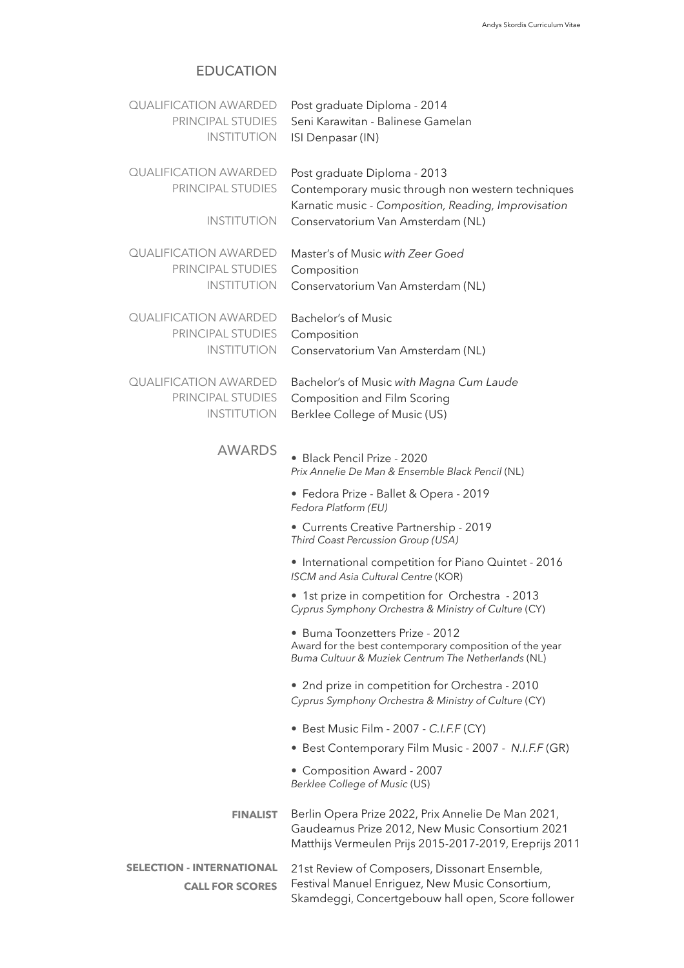## EDUCATION

| <b>QUALIFICATION AWARDED</b><br>PRINCIPAL STUDIES<br><b>INSTITUTION</b> | Post graduate Diploma - 2014<br>Seni Karawitan - Balinese Gamelan<br>ISI Denpasar (IN)                                                                          |
|-------------------------------------------------------------------------|-----------------------------------------------------------------------------------------------------------------------------------------------------------------|
| <b>QUALIFICATION AWARDED</b><br>PRINCIPAL STUDIES                       | Post graduate Diploma - 2013<br>Contemporary music through non western techniques<br>Karnatic music - Composition, Reading, Improvisation                       |
| <b>INSTITUTION</b>                                                      | Conservatorium Van Amsterdam (NL)                                                                                                                               |
| <b>QUALIFICATION AWARDED</b><br>PRINCIPAL STUDIES<br><b>INSTITUTION</b> | Master's of Music with Zeer Goed<br>Composition<br>Conservatorium Van Amsterdam (NL)                                                                            |
| <b>QUALIFICATION AWARDED</b><br>PRINCIPAL STUDIES<br><b>INSTITUTION</b> | <b>Bachelor's of Music</b><br>Composition<br>Conservatorium Van Amsterdam (NL)                                                                                  |
| <b>QUALIFICATION AWARDED</b><br>PRINCIPAL STUDIES<br><b>INSTITUTION</b> | Bachelor's of Music with Magna Cum Laude<br><b>Composition and Film Scoring</b><br>Berklee College of Music (US)                                                |
| <b>AWARDS</b>                                                           | · Black Pencil Prize - 2020<br>Prix Annelie De Man & Ensemble Black Pencil (NL)                                                                                 |
|                                                                         | • Fedora Prize - Ballet & Opera - 2019<br>Fedora Platform (EU)                                                                                                  |
|                                                                         | • Currents Creative Partnership - 2019<br>Third Coast Percussion Group (USA)                                                                                    |
|                                                                         | • International competition for Piano Quintet - 2016<br>ISCM and Asia Cultural Centre (KOR)                                                                     |
|                                                                         | • 1st prize in competition for Orchestra - 2013<br>Cyprus Symphony Orchestra & Ministry of Culture (CY)                                                         |
|                                                                         | • Buma Toonzetters Prize - 2012<br>Award for the best contemporary composition of the year<br>Buma Cultuur & Muziek Centrum The Netherlands (NL)                |
|                                                                         | • 2nd prize in competition for Orchestra - 2010<br>Cyprus Symphony Orchestra & Ministry of Culture (CY)                                                         |
|                                                                         | • Best Music Film - 2007 - C.I.F.F (CY)                                                                                                                         |
|                                                                         | • Best Contemporary Film Music - 2007 - N.I.F.F (GR)                                                                                                            |
|                                                                         | • Composition Award - 2007<br>Berklee College of Music (US)                                                                                                     |
| <b>FINALIST</b>                                                         | Berlin Opera Prize 2022, Prix Annelie De Man 2021,<br>Gaudeamus Prize 2012, New Music Consortium 2021<br>Matthijs Vermeulen Prijs 2015-2017-2019, Ereprijs 2011 |
| <b>SELECTION - INTERNATIONAL</b>                                        | 21st Review of Composers, Dissonart Ensemble,                                                                                                                   |
| <b>CALL FOR SCORES</b>                                                  | Festival Manuel Enriguez, New Music Consortium,<br>Skamdeggi, Concertgebouw hall open, Score follower                                                           |